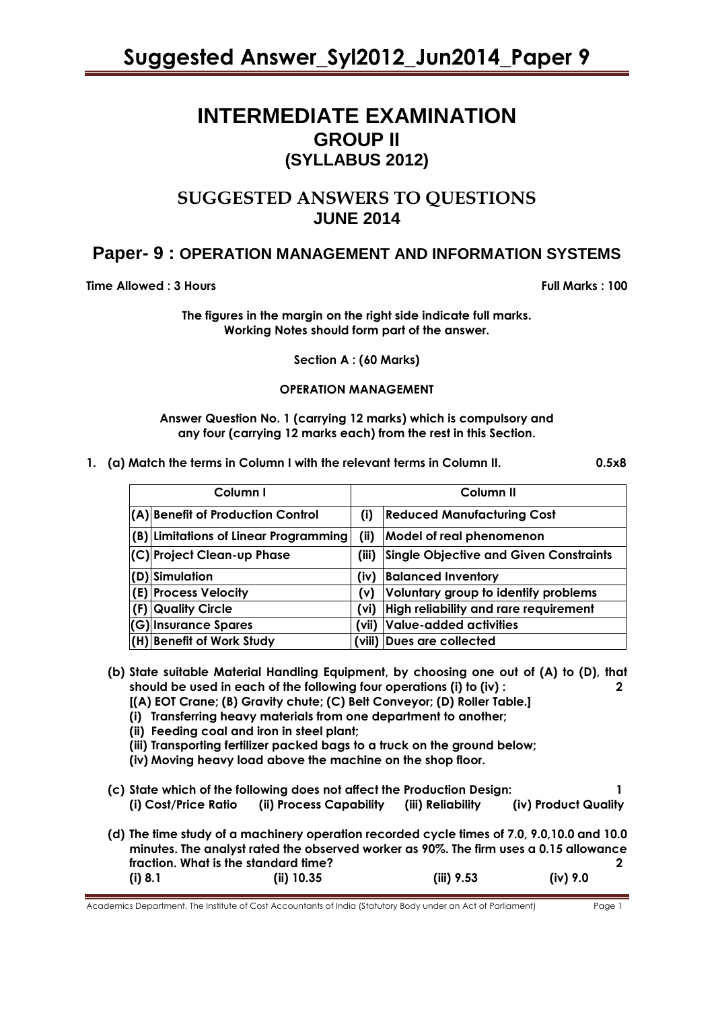# **INTERMEDIATE EXAMINATION GROUP II (SYLLABUS 2012)**

# **SUGGESTED ANSWERS TO QUESTIONS JUNE 2014**

# **Paper- 9 : OPERATION MANAGEMENT AND INFORMATION SYSTEMS**

**Time Allowed : 3 Hours Full Marks : 100** 

**The figures in the margin on the right side indicate full marks. Working Notes should form part of the answer.**

**Section A : (60 Marks)** 

## **OPERATION MANAGEMENT**

**Answer Question No. 1 (carrying 12 marks) which is compulsory and any four (carrying 12 marks each) from the rest in this Section.**

**1. (a) Match the terms in Column I with the relevant terms in Column II. 0.5x8**

| Column I |                                       | Column II |                                               |  |
|----------|---------------------------------------|-----------|-----------------------------------------------|--|
|          | (A) Benefit of Production Control     | (i)       | <b>Reduced Manufacturing Cost</b>             |  |
|          | (B) Limitations of Linear Programming | (iii)     | <b>Model of real phenomenon</b>               |  |
|          | (C) Project Clean-up Phase            | (iii)     | <b>Single Objective and Given Constraints</b> |  |
|          | (D) Simulation                        | (iv)      | <b>Balanced Inventory</b>                     |  |
|          | (E) Process Velocity                  | (v)       | Voluntary group to identify problems          |  |
|          | (F) Quality Circle                    | (vi)      | High reliability and rare requirement         |  |
|          | (G) Insurance Spares                  | (vii)     | Value-added activities                        |  |
|          | (H) Benefit of Work Study             |           | (viii)  Dues are collected                    |  |

**(b) State suitable Material Handling Equipment, by choosing one out of (A) to (D), that should be used in each of the following four operations (i) to (iv) : 2**

**[(A) EOT Crane; (B) Gravity chute; (C) Belt Conveyor; (D) Roller Table.]** 

- **(i) Transferring heavy materials from one department to another;**
- **(ii) Feeding coal and iron in steel plant;**
- **(iii) Transporting fertilizer packed bags to a truck on the ground below;**
- **(iv) Moving heavy load above the machine on the shop floor.**
- **(c) State which of the following does not affect the Production Design: 1 (i) Cost/Price Ratio (ii) Process Capability (iii) Reliability (iv) Product Quality**
- **(d) The time study of a machinery operation recorded cycle times of 7.0, 9.0,10.0 and 10.0 minutes. The analyst rated the observed worker as 90%. The firm uses a 0.15 allowance fraction. What is the standard time? 2 (i) 8.1 (ii) 10.35 (iii) 9.53 (iv) 9.0**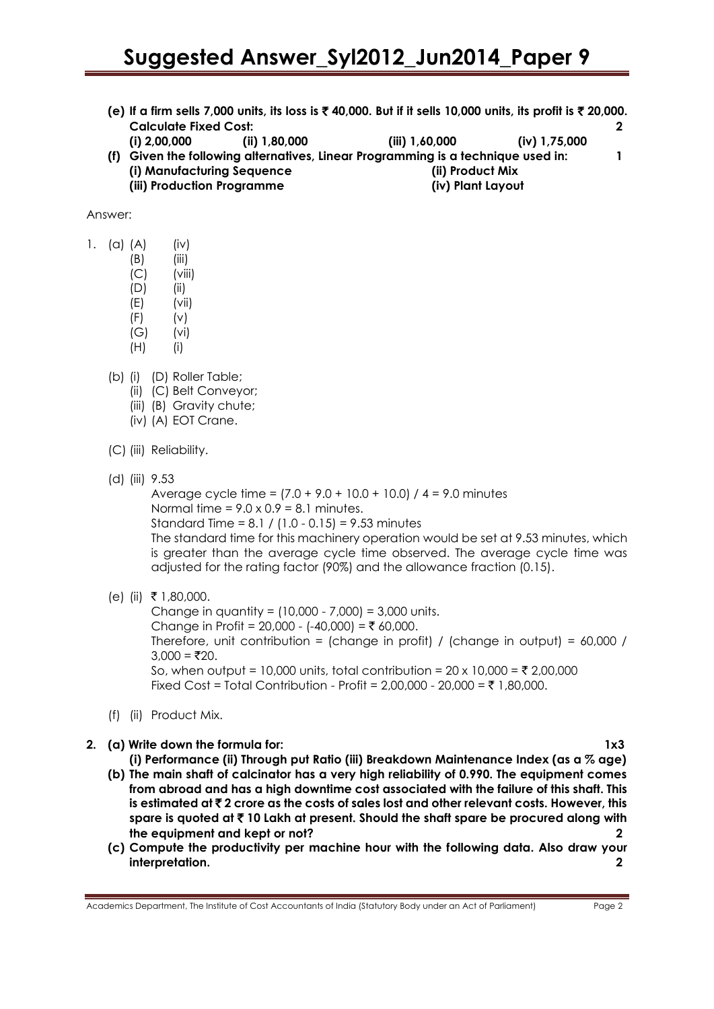- **(e) If a firm sells 7,000 units, its loss is** ` **40,000. But if it sells 10,000 units, its profit is** ` **20,000. Calculate Fixed Cost: 2**
- **(i) 2,00,000 (ii) 1,80,000 (iii) 1,60,000 (iv) 1,75,000 (f) Given the following alternatives, Linear Programming is a technique used in: 1 (i) Manufacturing Sequence (ii) Product Mix (iii) Production Programme (iv) Plant Layout**

### Answer:

- 1. (a)  $(A)$  (iv)
	- $(B)$  (iii)
	- $(C)$  (viii)
	- (D) (ii)
	- $(E)$  (vii)
	- $(F)$   $(v)$
	- (G) (vi)
	- (H) (i)
	- (b) (i) (D) Roller Table;
		- (ii) (C) Belt Conveyor;
		- (iii) (B) Gravity chute;
		- (iv) (A) EOT Crane.
	- (C) (iii) Reliability.
	- (d) (iii) 9.53

Average cycle time =  $(7.0 + 9.0 + 10.0 + 10.0)$  /  $4 = 9.0$  minutes Normal time =  $9.0 \times 0.9 = 8.1$  minutes. Standard Time = 8.1 / (1.0 - 0.15) = 9.53 minutes The standard time for this machinery operation would be set at 9.53 minutes, which is greater than the average cycle time observed. The average cycle time was

adjusted for the rating factor (90%) and the allowance fraction (0.15).

 $(e)$  (ii) ₹ 1,80,000.

Change in quantity =  $(10,000 - 7,000) = 3,000$  units. Change in Profit = 20,000 - (-40,000) = ₹ 60,000. Therefore, unit contribution = (change in profit) / (change in output) = 60,000 /  $3,000 = ₹20.$ So, when output = 10,000 units, total contribution =  $20 \times 10,000 = ₹ 2,00,000$ Fixed Cost = Total Contribution - Profit =  $2,00,000$  -  $20,000 = ₹ 1,80,000$ .

(f) (ii) Product Mix.

# **2. (a) Write down the formula for: 1x3**

**(i) Performance (ii) Through put Ratio (iii) Breakdown Maintenance Index (as a % age)**

- **(b) The main shaft of calcinator has a very high reliability of 0.990. The equipment comes from abroad and has a high downtime cost associated with the failure of this shaft. This is estimated at** ` **2 crore as the costs of sales lost and other relevant costs. However, this spare is quoted at** ` **10 Lakh at present. Should the shaft spare be procured along with the equipment and kept or not? 2**
- **(c) Compute the productivity per machine hour with the following data. Also draw your interpretation. 2**

Academics Department, The Institute of Cost Accountants of India (Statutory Body under an Act of Parliament) Page 2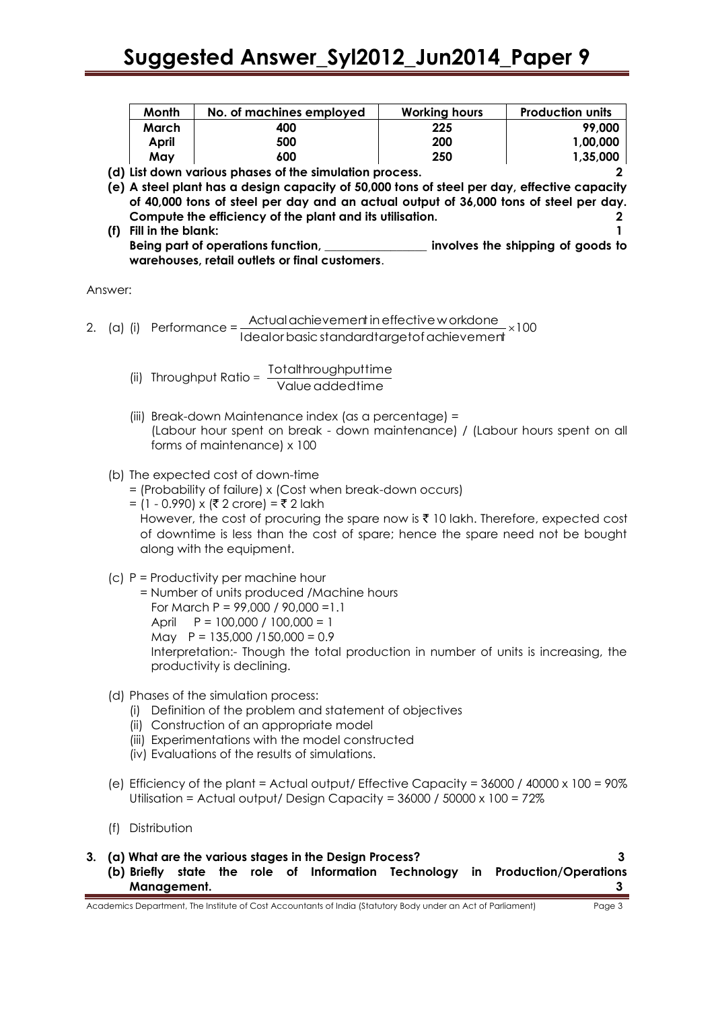| <b>Month</b> | No. of machines employed | <b>Working hours</b> | <b>Production units</b> |
|--------------|--------------------------|----------------------|-------------------------|
| March        | 400                      | 225                  | 99,000                  |
| April        | 500                      | 200                  | 1,00,000                |
| Mav          | 600                      | 250                  | 1,35,000                |

**(d) List down various phases of the simulation process. 2**

**(e) A steel plant has a design capacity of 50,000 tons of steel per day, effective capacity of 40,000 tons of steel per day and an actual output of 36,000 tons of steel per day. Compute the efficiency of the plant and its utilisation. 2 (f) Fill in the blank: 1**

**Being part of operations function, \_\_\_\_\_\_\_\_\_\_\_\_\_\_\_\_\_ involves the shipping of goods to warehouses, retail outlets or final customers**.

Answer:

2. (a) (i) Performance = 100 Actualachievement ineffective w orkdone Idealorbasicstandardtargetofachievement

(ii) Throughput Ratio =  $\frac{101 \text{ cm} \cdot \text{m} \cdot \text{m}}{\text{Value added time}}$ Totalthroughputtime

(iii) Break-down Maintenance index (as a percentage) = (Labour hour spent on break - down maintenance) / (Labour hours spent on all forms of maintenance) x 100

# (b) The expected cost of down-time

- = (Probability of failure) x (Cost when break-down occurs)
- = (1 0.990) x (₹ 2 crore) = ₹ 2 lakh However, the cost of procuring the spare now is  $\bar{\tau}$  10 lakh. Therefore, expected cost of downtime is less than the cost of spare; hence the spare need not be bought along with the equipment.
- (c) P = Productivity per machine hour
- = Number of units produced /Machine hours For March P = 99,000 / 90,000 =1.1 April P = 100,000 / 100,000 = 1 May  $P = 135,000 / 150,000 = 0.9$ Interpretation:- Though the total production in number of units is increasing, the productivity is declining.
- (d) Phases of the simulation process:
	- (i) Definition of the problem and statement of objectives
	- (ii) Construction of an appropriate model
	- (iii) Experimentations with the model constructed
	- (iv) Evaluations of the results of simulations.
- (e) Efficiency of the plant = Actual output/ Effective Capacity =  $36000 / 40000 \times 100 = 90\%$ Utilisation = Actual output/ Design Capacity = 36000 / 50000 x 100 = 72%
- (f) Distribution
- **3. (a) What are the various stages in the Design Process? 3 (b) Briefly state the role of Information Technology in Production/Operations Management. 3**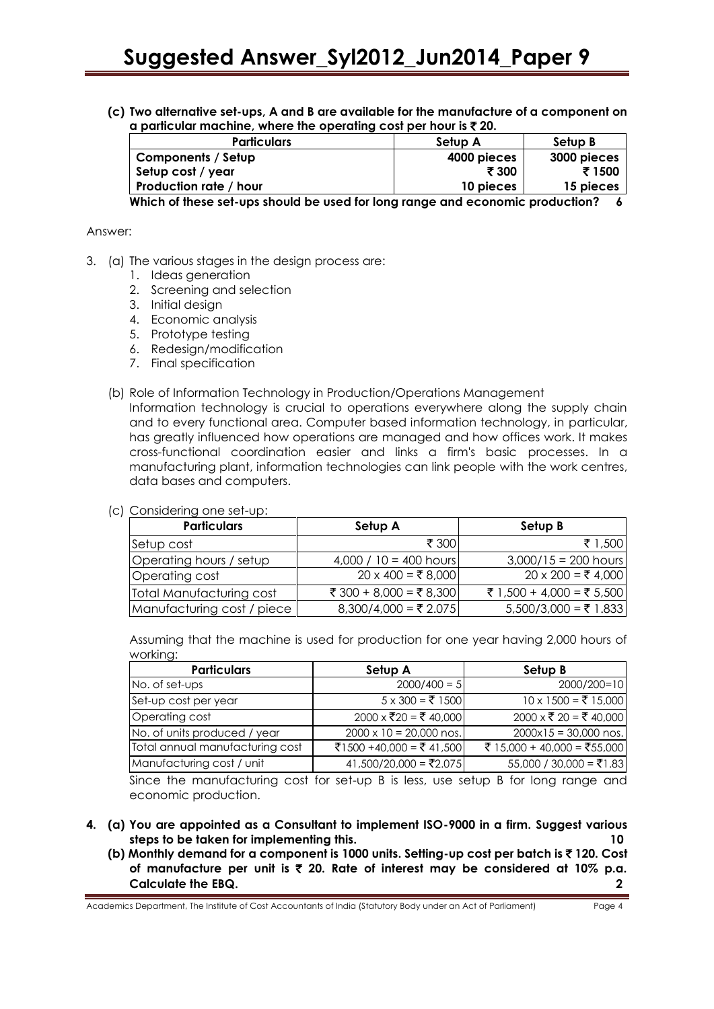**(c) Two alternative set-ups, A and B are available for the manufacture of a component on a particular machine, where the operating cost per hour is**  $\bar{\tau}$  **20.** 

| <b>Particulars</b>     | Setup A     | Setup B     |
|------------------------|-------------|-------------|
| Components / Setup     | 4000 pieces | 3000 pieces |
| Setup cost / year      | ₹ 300       | ₹ 1500      |
| Production rate / hour | 10 pieces   | 15 pieces   |
| ---- - - - --<br>.     |             |             |

**Which of these set-ups should be used for long range and economic production? 6**

#### Answer:

- 3. (a) The various stages in the design process are:
	- 1. Ideas generation
	- 2. Screening and selection
	- 3. Initial design
	- 4. Economic analysis
	- 5. Prototype testing
	- 6. Redesign/modification
	- 7. Final specification
	- (b) Role of Information Technology in Production/Operations Management

Information technology is crucial to operations everywhere along the supply chain and to every functional area. Computer based information technology, in particular, has greatly influenced how operations are managed and how offices work. It makes cross-functional coordination easier and links a firm's basic processes. In a manufacturing plant, information technologies can link people with the work centres, data bases and computers.

#### (c) Considering one set-up:

| <b>Particulars</b>         | Setup A                   | Setup B                   |
|----------------------------|---------------------------|---------------------------|
| Setup cost                 | ₹ 300                     | ₹ 1,500                   |
| Operating hours / setup    | 4,000 / $10 = 400$ hours  | $3,000/15 = 200$ hours    |
| Operating cost             | $20 \times 400 = ₹ 8,000$ | $20 \times 200 = ₹ 4,000$ |
| Total Manufacturing cost   | ₹ 300 + 8,000 = ₹ 8,300   | ₹ 1,500 + 4,000 = ₹ 5,500 |
| Manufacturing cost / piece | $8,300/4,000 = ₹2.075$    | 5,500/3,000 = ₹ 1.833     |

Assuming that the machine is used for production for one year having 2,000 hours of working:

| <b>Particulars</b>              | Setup A                        | Setup B                     |
|---------------------------------|--------------------------------|-----------------------------|
| No. of set-ups                  | $2000/400 = 5$                 | 2000/200=10                 |
| Set-up cost per year            | $5 \times 300 = ₹ 1500$        | $10 \times 1500 = ₹ 15,000$ |
| Operating cost                  | 2000 x ₹20 = ₹ 40,000          | 2000 x ₹ 20 = ₹ 40,000      |
| No. of units produced / year    | $2000 \times 10 = 20,000$ nos. | $2000x15 = 30,000$ nos.     |
| Total annual manufacturing cost | ₹1500 +40,000 = ₹41,500        | ₹ 15,000 + 40,000 = ₹55,000 |
| Manufacturing cost / unit       | 41,500/20,000 = ₹2.075         | 55,000 / 30,000 = ₹1.83     |

Since the manufacturing cost for set-up B is less, use setup B for long range and economic production.

- **4. (a) You are appointed as a Consultant to implement ISO-9000 in a firm. Suggest various steps to be taken for implementing this. 10**
	- **(b) Monthly demand for a component is 1000 units. Setting-up cost per batch is** ` **120. Cost of manufacture per unit is** ` **20. Rate of interest may be considered at 10% p.a. Calculate the EBQ. 2**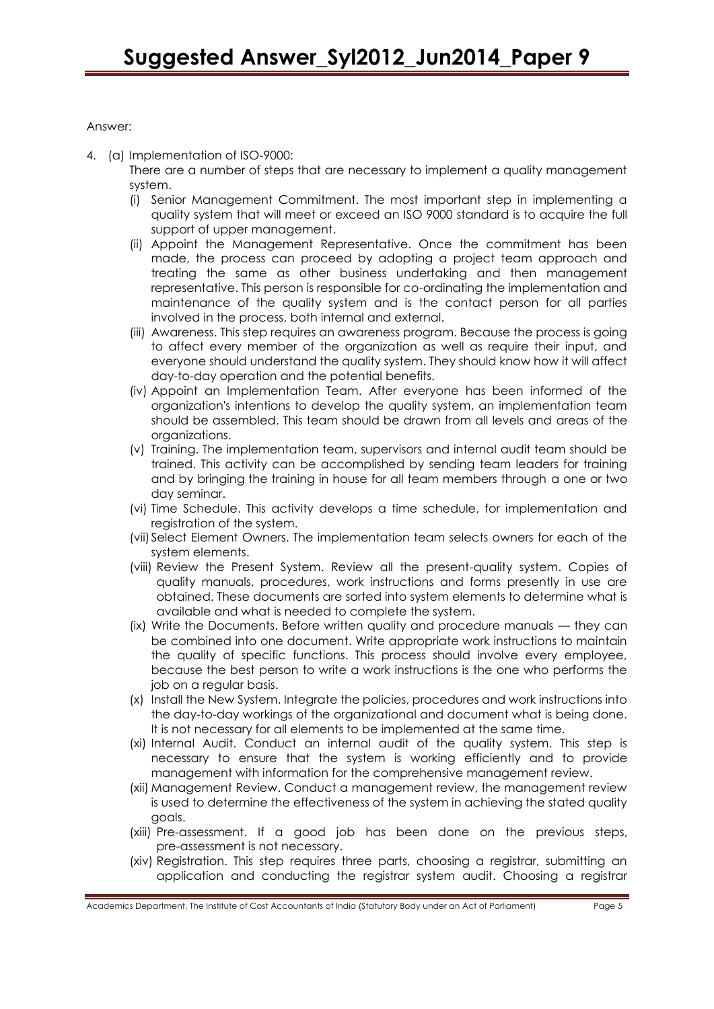# Answer:

4. (a) Implementation of ISO-9000:

There are a number of steps that are necessary to implement a quality management system.

- (i) Senior Management Commitment. The most important step in implementing a quality system that will meet or exceed an ISO 9000 standard is to acquire the full support of upper management.
- (ii) Appoint the Management Representative. Once the commitment has been made, the process can proceed by adopting a project team approach and treating the same as other business undertaking and then management representative. This person is responsible for co-ordinating the implementation and maintenance of the quality system and is the contact person for all parties involved in the process, both internal and external.
- (iii) Awareness. This step requires an awareness program. Because the process is going to affect every member of the organization as well as require their input, and everyone should understand the quality system. They should know how it will affect day-to-day operation and the potential benefits.
- (iv) Appoint an Implementation Team. After everyone has been informed of the organization's intentions to develop the quality system, an implementation team should be assembled. This team should be drawn from all levels and areas of the organizations.
- (v) Training. The implementation team, supervisors and internal audit team should be trained. This activity can be accomplished by sending team leaders for training and by bringing the training in house for all team members through a one or two day seminar.
- (vi) Time Schedule. This activity develops a time schedule, for implementation and registration of the system.
- (vii)Select Element Owners. The implementation team selects owners for each of the system elements.
- (viii) Review the Present System. Review all the present-quality system. Copies of quality manuals, procedures, work instructions and forms presently in use are obtained. These documents are sorted into system elements to determine what is available and what is needed to complete the system.
- (ix) Write the Documents. Before written quality and procedure manuals they can be combined into one document. Write appropriate work instructions to maintain the quality of specific functions. This process should involve every employee, because the best person to write a work instructions is the one who performs the job on a regular basis.
- (x) Install the New System. Integrate the policies, procedures and work instructions into the day-to-day workings of the organizational and document what is being done. It is not necessary for all elements to be implemented at the same time.
- (xi) Internal Audit. Conduct an internal audit of the quality system. This step is necessary to ensure that the system is working efficiently and to provide management with information for the comprehensive management review.
- (xii) Management Review. Conduct a management review, the management review is used to determine the effectiveness of the system in achieving the stated quality goals.
- (xiii) Pre-assessment. If a good job has been done on the previous steps, pre-assessment is not necessary.
- (xiv) Registration. This step requires three parts, choosing a registrar, submitting an application and conducting the registrar system audit. Choosing a registrar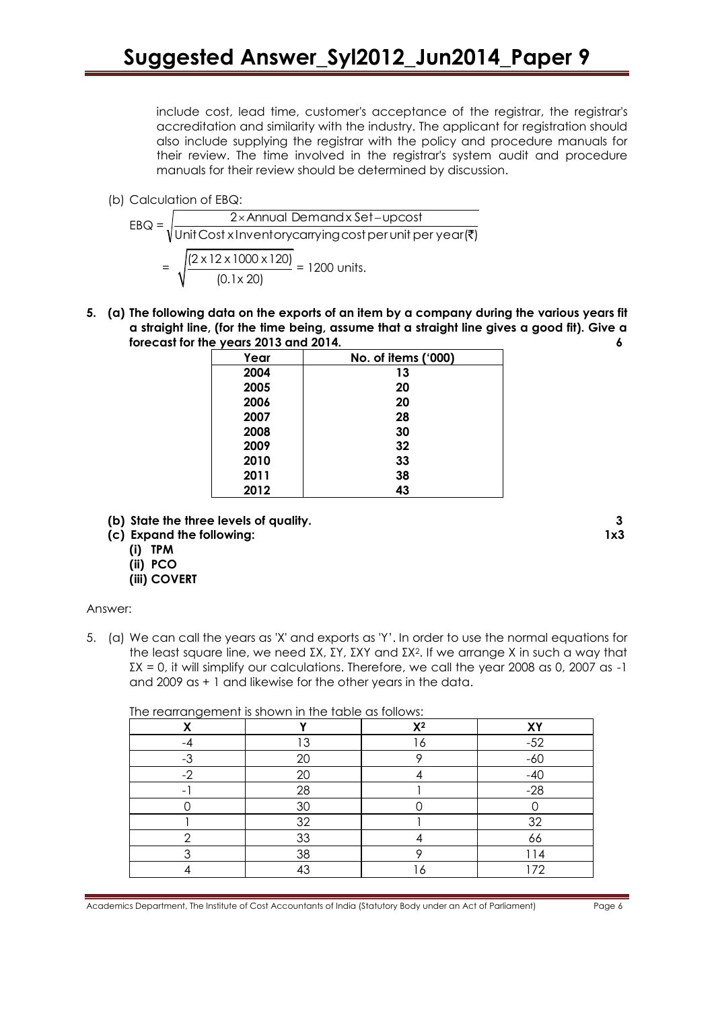include cost, lead time, customer's acceptance of the registrar, the registrar's accreditation and similarity with the industry. The applicant for registration should also include supplying the registrar with the policy and procedure manuals for their review. The time involved in the registrar's system audit and procedure manuals for their review should be determined by discussion.

(b) Calculation of EBQ:

| $EBQ =$ | 2×Annual Demandx Set-upcost                                                                                    |  |  |  |  |
|---------|----------------------------------------------------------------------------------------------------------------|--|--|--|--|
|         | $\sqrt{\text{Unit Cost} \times \text{Inventorycarrying cost}}$ per unit per year ( $\overline{\overline{z}}$ ) |  |  |  |  |
| $=$     | $\sqrt{(2 \times 12 \times 1000 \times 120)}$ = 1200 units.<br>$(0.1 \times 20)$                               |  |  |  |  |

**5. (a) The following data on the exports of an item by a company during the various years fit a straight line, (for the time being, assume that a straight line gives a good fit). Give a forecast for the years 2013 and 2014. 6**

| ,    |                     |
|------|---------------------|
| Year | No. of items ('000) |
| 2004 | 13                  |
| 2005 | 20                  |
| 2006 | 20                  |
| 2007 | 28                  |
| 2008 | 30                  |
| 2009 | 32                  |
| 2010 | 33                  |
| 2011 | 38                  |
| 2012 | 43                  |

- **(b) State the three levels of quality. 3**
- **(c) Expand the following: 1x3**
	- **(i) TPM**
	- **(ii) PCO**
	- **(iii) COVERT**

#### Answer:

5. (a) We can call the years as 'X' and exports as 'Y'. In order to use the normal equations for the least square line, we need ΣX, ΣY, ΣXY and ΣX2. If we arrange X in such a way that  $\Sigma$ X = 0, it will simplify our calculations. Therefore, we call the year 2008 as 0, 2007 as -1 and 2009 as + 1 and likewise for the other years in the data.

The rearrangement is shown in the table as follows:

| χ    |    | $X^2$ | XY    |
|------|----|-------|-------|
| $-4$ | 13 | 16    | $-52$ |
| $-3$ | 20 |       | $-60$ |
| $-2$ | 20 |       | $-40$ |
|      | 28 |       | $-28$ |
|      | 30 |       |       |
|      | 32 |       | 32    |
| ◠    | 33 |       | 66    |
|      | 38 |       | 114   |
|      | 43 | 6     | 172   |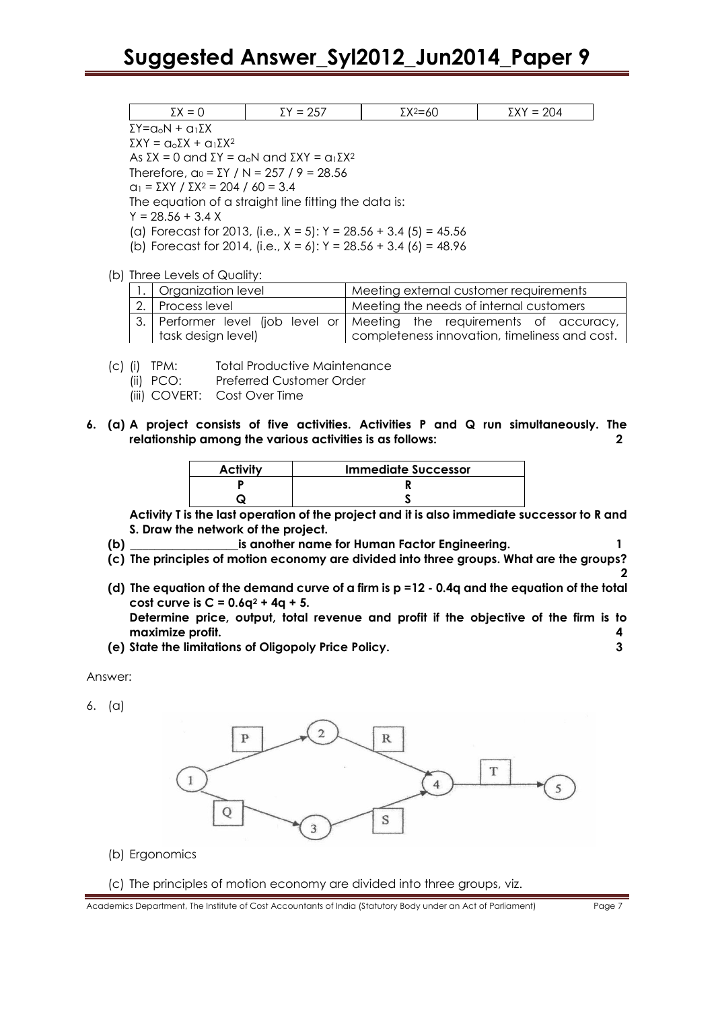# **Suggested Answer\_Syl2012\_Jun2014\_Paper 9**

| _<br>--<br>$-$ | --<br>-<br>$\sim$ $\sim$ | --<br>$ -$<br>$-$ | --<br>$ -$ |
|----------------|--------------------------|-------------------|------------|

ΣY=aoN + a1ΣX

 $\Sigma XY = α_0 \Sigma X + α_1 \Sigma X^2$ 

As  $\Sigma X = 0$  and  $\Sigma Y = a_0N$  and  $\Sigma XY = a_1\Sigma X^2$ 

Therefore,  $α_0 = ΣY / N = 257 / 9 = 28.56$ 

 $a_1 = \Sigma XY / \Sigma X^2 = 204 / 60 = 3.4$ 

The equation of a straight line fitting the data is:

 $Y = 28.56 + 3.4 X$ 

- (a) Forecast for 2013, (i.e.,  $X = 5$ ):  $Y = 28.56 + 3.4$  (5) = 45.56
- (b) Forecast for 2014, (i.e.,  $X = 6$ ):  $Y = 28.56 + 3.4$  (6) = 48.96

(b) Three Levels of Quality:

| 1.   Organization level | Meeting external customer requirements                                 |  |  |
|-------------------------|------------------------------------------------------------------------|--|--|
| 2. Process level        | Meeting the needs of internal customers                                |  |  |
|                         | 3. Performer level (job level or Meeting the requirements of accuracy, |  |  |
| task design level)      | completeness innovation, timeliness and cost.                          |  |  |

- (c) (i) TPM: Total Productive Maintenance
	- (ii) PCO: Preferred Customer Order
	- (iii) COVERT: Cost Over Time
- **6. (a) A project consists of five activities. Activities P and Q run simultaneously. The relationship among the various activities is as follows: 2**

| <b>Activity</b> | <b>Immediate Successor</b> |
|-----------------|----------------------------|
|                 |                            |
|                 |                            |

**Activity T is the last operation of the project and it is also immediate successor to R and S. Draw the network of the project.**

- **(b) \_\_\_\_\_\_\_\_\_\_\_\_\_\_\_\_\_\_is another name for Human Factor Engineering. 1**
- **(c) The principles of motion economy are divided into three groups. What are the groups?**
- **(d) The equation of the demand curve of a firm is p =12 - 0.4q and the equation of the total cost curve is C = 0.6q<sup>2</sup> + 4q + 5.**

**Determine price, output, total revenue and profit if the objective of the firm is to maximize profit. 4**

**(e) State the limitations of Oligopoly Price Policy. 3**

Answer:

6. (a)



(b) Ergonomics

#### (c) The principles of motion economy are divided into three groups, viz.

**2**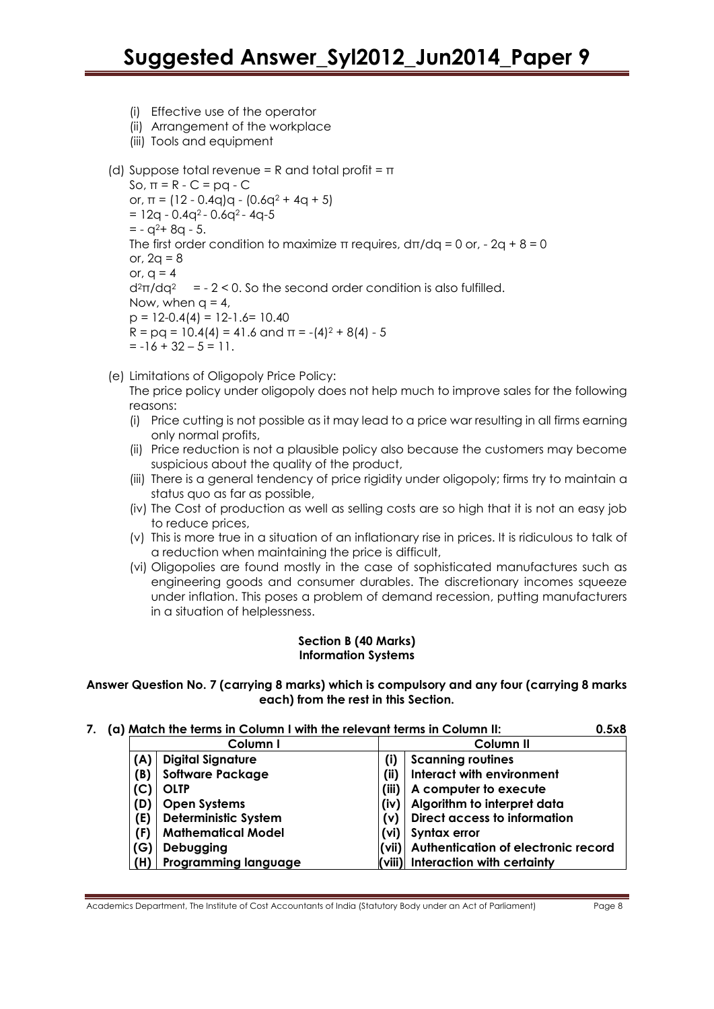- (i) Effective use of the operator
- (ii) Arrangement of the workplace
- (iii) Tools and equipment

```
(d) Suppose total revenue = R and total profit = \piSo, \pi = R - C = pq - C
or, \pi = (12 - 0.4q)q - (0.6q^2 + 4q + 5)= 12q - 0.4q^{2} - 0.6q^{2} - 4q - 5= -q^2 + 8q - 5.The first order condition to maximize \pi requires, d\pi/dq = 0 or, -2q + 8 = 0or, 2q = 8or, q = 4d^2\pi/dq^2 = - 2 < 0. So the second order condition is also fulfilled.
Now, when q = 4,
p = 12 - 0.4(4) = 12 - 1.6 = 10.40R = pq = 10.4(4) = 41.6 and \pi = -(4)^2 + 8(4) - 5= -16 + 32 - 5 = 11.
```
- (e) Limitations of Oligopoly Price Policy:
	- The price policy under oligopoly does not help much to improve sales for the following reasons:
	- (i) Price cutting is not possible as it may lead to a price war resulting in all firms earning only normal profits,
	- (ii) Price reduction is not a plausible policy also because the customers may become suspicious about the quality of the product,
	- (iii) There is a general tendency of price rigidity under oligopoly; firms try to maintain a status quo as far as possible,
	- (iv) The Cost of production as well as selling costs are so high that it is not an easy job to reduce prices,
	- (v) This is more true in a situation of an inflationary rise in prices. It is ridiculous to talk of a reduction when maintaining the price is difficult,
	- (vi) Oligopolies are found mostly in the case of sophisticated manufactures such as engineering goods and consumer durables. The discretionary incomes squeeze under inflation. This poses a problem of demand recession, putting manufacturers in a situation of helplessness.

#### **Section B (40 Marks) Information Systems**

### **Answer Question No. 7 (carrying 8 marks) which is compulsory and any four (carrying 8 marks each) from the rest in this Section.**

| 7. | (a) Match the terms in Column I with the relevant terms in Column II: |     |                             |                      | 0.5x8                                     |  |
|----|-----------------------------------------------------------------------|-----|-----------------------------|----------------------|-------------------------------------------|--|
|    | Column I                                                              |     |                             | Column <sub>II</sub> |                                           |  |
|    |                                                                       | (A) | <b>Digital Signature</b>    | (i)                  | <b>Scanning routines</b>                  |  |
|    |                                                                       | (B) | <b>Software Package</b>     | (ii)                 | Interact with environment                 |  |
|    |                                                                       | (C) | OLTP                        | (iii)                | A computer to execute                     |  |
|    |                                                                       | (D) | <b>Open Systems</b>         | (iv)                 | Algorithm to interpret data               |  |
|    |                                                                       | (E) | <b>Deterministic System</b> | (v)                  | <b>Direct access to information</b>       |  |
|    |                                                                       | (F) | <b>Mathematical Model</b>   |                      | $(vi)$ Syntax error                       |  |
|    |                                                                       | (G) | Debugging                   |                      | (vii) Authentication of electronic record |  |
|    |                                                                       |     | <b>Programming language</b> |                      | $\vert$ (viii) Interaction with certainty |  |

Academics Department, The Institute of Cost Accountants of India (Statutory Body under an Act of Parliament) Page 8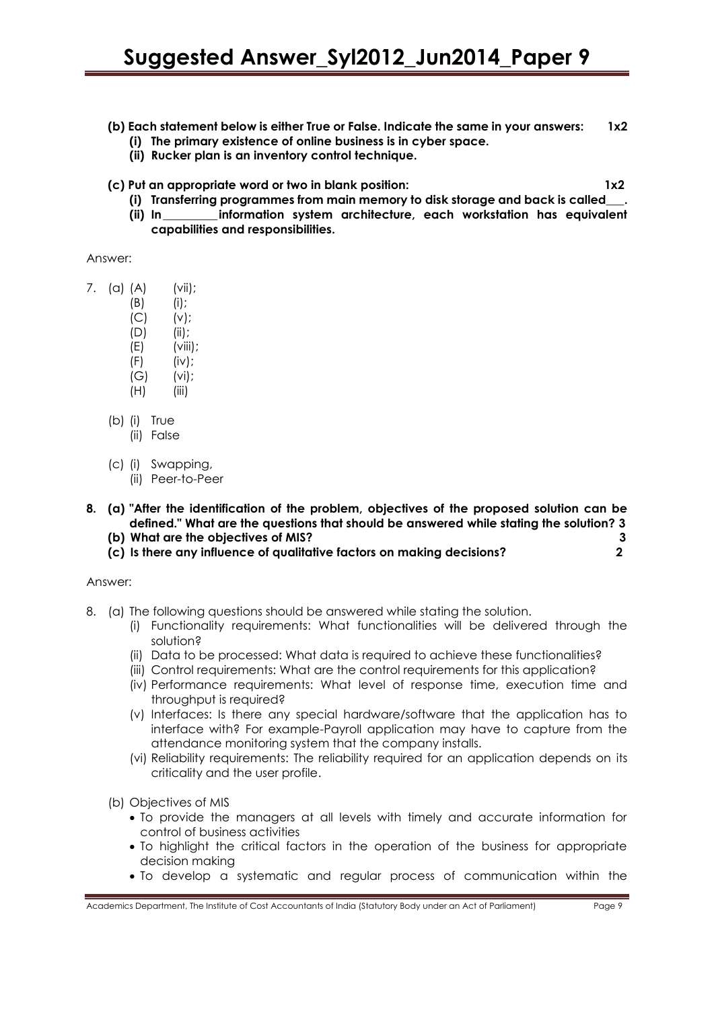# **(b) Each statement below is either True or False. Indicate the same in your answers: 1x2**

- **(i) The primary existence of online business is in cyber space.**
- **(ii) Rucker plan is an inventory control technique.**
- **(c) Put an appropriate word or two in blank position: 1x2**

- **(i) Transferring programmes from main memory to disk storage and back is called\_\_\_.**
- **(ii) In\_\_\_\_\_\_\_\_\_ information system architecture, each workstation has equivalent capabilities and responsibilities.**

Answer:

- 7. (a) (A) (vii);
	- (B) (i);
	- $(C)$   $(v)$ ;
	- (D) (ii);
	- $(E)$  (viii);
	- $(F)$  (iv);
	- (G) (vi);
	- $(H)$  (iii)
	- (b) (i) True
		- (ii) False
	- (c) (i) Swapping, (ii) Peer-to-Peer
- **8. (a) "After the identification of the problem, objectives of the proposed solution can be defined." What are the questions that should be answered while stating the solution? 3 (b) What are the objectives of MIS? 3**
	-
	- **(c) Is there any influence of qualitative factors on making decisions? 2**

Answer:

- 8. (a) The following questions should be answered while stating the solution.
	- (i) Functionality requirements: What functionalities will be delivered through the solution?
	- (ii) Data to be processed: What data is required to achieve these functionalities?
	- (iii) Control requirements: What are the control requirements for this application?
	- (iv) Performance requirements: What level of response time, execution time and throughput is required?
	- (v) Interfaces: Is there any special hardware/software that the application has to interface with? For example-Payroll application may have to capture from the attendance monitoring system that the company installs.
	- (vi) Reliability requirements: The reliability required for an application depends on its criticality and the user profile.

(b) Objectives of MIS

- To provide the managers at all levels with timely and accurate information for control of business activities
- To highlight the critical factors in the operation of the business for appropriate decision making
- To develop a systematic and regular process of communication within the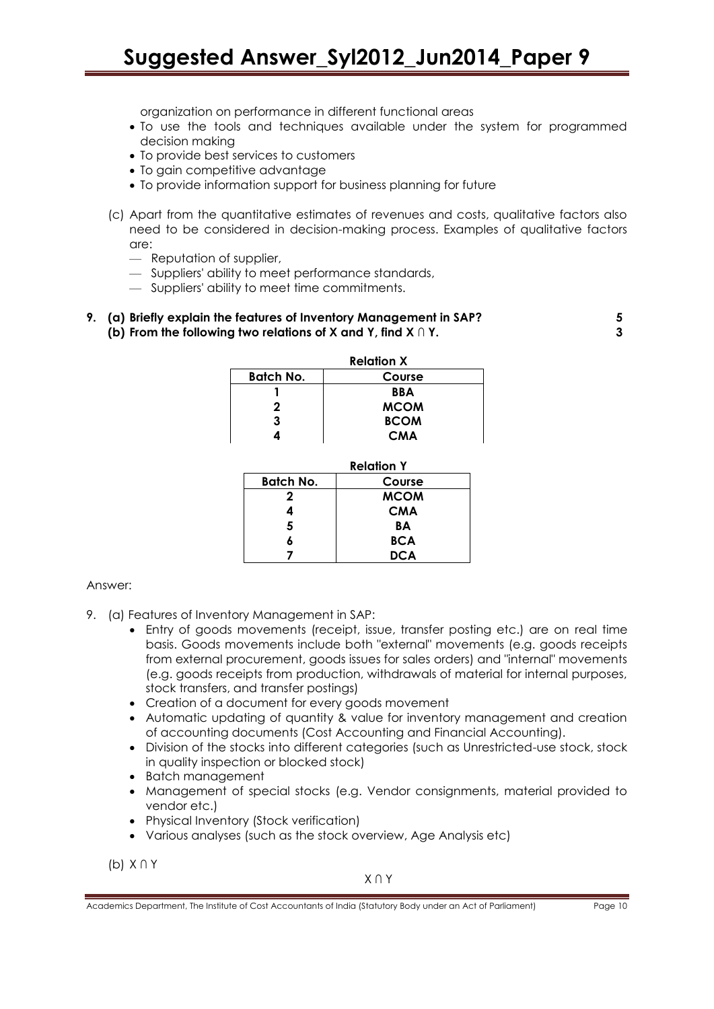# **Suggested Answer\_Syl2012\_Jun2014\_Paper 9**

organization on performance in different functional areas

- To use the tools and techniques available under the system for programmed decision making
- To provide best services to customers
- To gain competitive advantage
- To provide information support for business planning for future
- (c) Apart from the quantitative estimates of revenues and costs, qualitative factors also need to be considered in decision-making process. Examples of qualitative factors are:
	- Reputation of supplier,
	- Suppliers' ability to meet performance standards,
	- Suppliers' ability to meet time commitments.

#### **9. (a) Briefly explain the features of Inventory Management in SAP? 5 (b) From the following two relations of X and Y, find X ∩ Y. 3**

| <b>Relation X</b> |             |  |
|-------------------|-------------|--|
| <b>Batch No.</b>  | Course      |  |
|                   | <b>BBA</b>  |  |
| 2                 | <b>MCOM</b> |  |
| 3                 | <b>BCOM</b> |  |
|                   | CMA         |  |

| <b>Relation Y</b> |             |
|-------------------|-------------|
| Batch No.         | Course      |
| 2                 | <b>MCOM</b> |
| 4                 | <b>CMA</b>  |
| 5                 | BА          |
|                   | <b>BCA</b>  |
|                   | <b>DCA</b>  |

#### Answer:

- 9. (a) Features of Inventory Management in SAP:
	- Entry of goods movements (receipt, issue, transfer posting etc.) are on real time basis. Goods movements include both "external" movements (e.g. goods receipts from external procurement, goods issues for sales orders) and "internal" movements (e.g. goods receipts from production, withdrawals of material for internal purposes, stock transfers, and transfer postings)
	- Creation of a document for every goods movement
	- Automatic updating of quantity & value for inventory management and creation of accounting documents (Cost Accounting and Financial Accounting).
	- Division of the stocks into different categories (such as Unrestricted-use stock, stock in quality inspection or blocked stock)
	- Batch management
	- Management of special stocks (e.g. Vendor consignments, material provided to vendor etc.)
	- Physical Inventory (Stock verification)
	- Various analyses (such as the stock overview, Age Analysis etc)

(b) X ∩ Y

X ∩ Y

Academics Department, The Institute of Cost Accountants of India (Statutory Body under an Act of Parliament) Page 10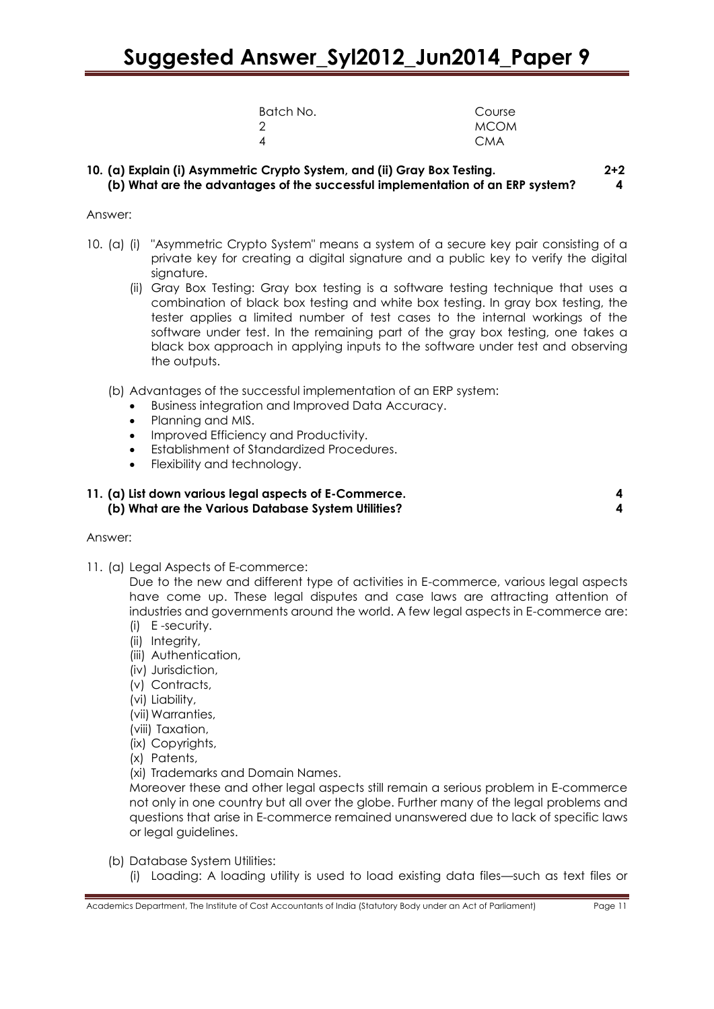| Batch No. | Course      |
|-----------|-------------|
| 2         | <b>MCOM</b> |
| 4         | <b>CMA</b>  |

## **10. (a) Explain (i) Asymmetric Crypto System, and (ii) Gray Box Testing. 2+2 (b) What are the advantages of the successful implementation of an ERP system? 4**

#### Answer:

- 10. (a) (i) "Asymmetric Crypto System" means a system of a secure key pair consisting of a private key for creating a digital signature and a public key to verify the digital signature.
	- (ii) Gray Box Testing: Gray box testing is a software testing technique that uses a combination of black box testing and white box testing. In gray box testing, the tester applies a limited number of test cases to the internal workings of the software under test. In the remaining part of the gray box testing, one takes a black box approach in applying inputs to the software under test and observing the outputs.
	- (b) Advantages of the successful implementation of an ERP system:
		- Business integration and Improved Data Accuracy.
		- Planning and MIS.
		- Improved Efficiency and Productivity.
		- Establishment of Standardized Procedures.
		- Flexibility and technology.

# **11. (a) List down various legal aspects of E-Commerce. 4 (b) What are the Various Database System Utilities? 4**

#### Answer:

11. (a) Legal Aspects of E-commerce:

Due to the new and different type of activities in E-commerce, various legal aspects have come up. These legal disputes and case laws are attracting attention of industries and governments around the world. A few legal aspects in E-commerce are: (i) E -security.

- (ii) Integrity,
- (iii) Authentication,
- (iv) Jurisdiction,
- (v) Contracts,
- (vi) Liability,
- (vii) Warranties,
- (viii) Taxation,
- (ix) Copyrights,
- (x) Patents,
- (xi) Trademarks and Domain Names.

Moreover these and other legal aspects still remain a serious problem in E-commerce not only in one country but all over the globe. Further many of the legal problems and questions that arise in E-commerce remained unanswered due to lack of specific laws or legal guidelines.

- (b) Database System Utilities:
	- (i) Loading: A loading utility is used to load existing data files—such as text files or

Academics Department, The Institute of Cost Accountants of India (Statutory Body under an Act of Parliament) Page 11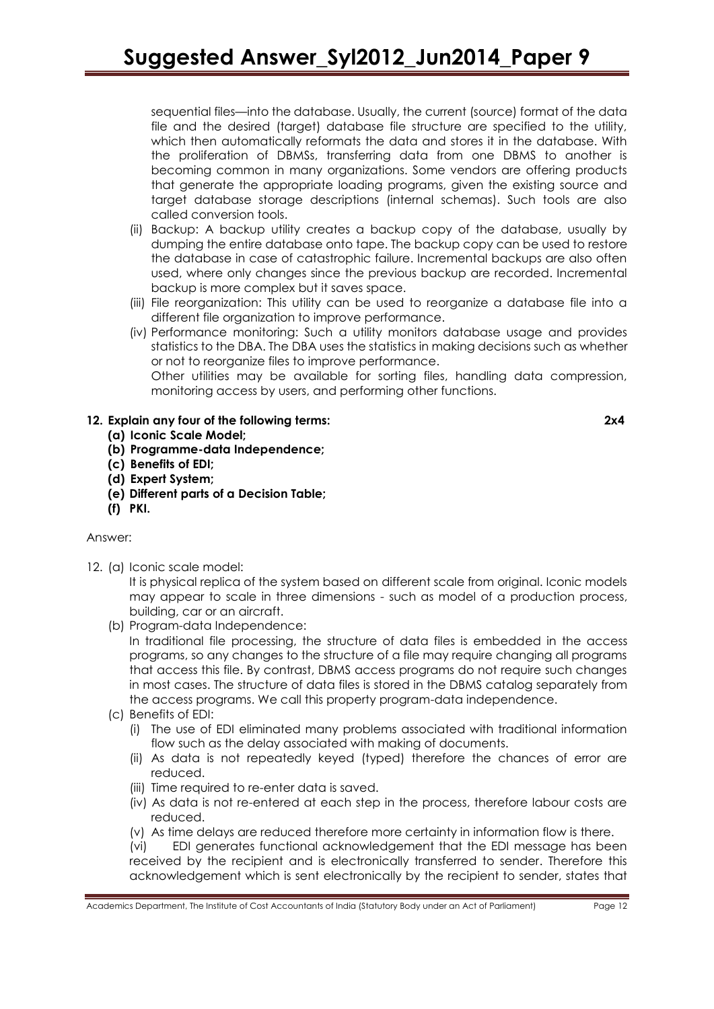sequential files—into the database. Usually, the current (source) format of the data file and the desired (target) database file structure are specified to the utility, which then automatically reformats the data and stores it in the database. With the proliferation of DBMSs, transferring data from one DBMS to another is becoming common in many organizations. Some vendors are offering products that generate the appropriate loading programs, given the existing source and target database storage descriptions (internal schemas). Such tools are also called conversion tools.

- (ii) Backup: A backup utility creates a backup copy of the database, usually by dumping the entire database onto tape. The backup copy can be used to restore the database in case of catastrophic failure. Incremental backups are also often used, where only changes since the previous backup are recorded. Incremental backup is more complex but it saves space.
- (iii) File reorganization: This utility can be used to reorganize a database file into a different file organization to improve performance.
- (iv) Performance monitoring: Such a utility monitors database usage and provides statistics to the DBA. The DBA uses the statistics in making decisions such as whether or not to reorganize files to improve performance. Other utilities may be available for sorting files, handling data compression,

monitoring access by users, and performing other functions.

# **12. Explain any four of the following terms: 2x4**

- **(a) Iconic Scale Model;**
- **(b) Programme-data Independence;**
- **(c) Benefits of EDI;**
- **(d) Expert System;**
- **(e) Different parts of a Decision Table;**
- **(f) PKI.**

# Answer:

12. (a) Iconic scale model:

It is physical replica of the system based on different scale from original. Iconic models may appear to scale in three dimensions - such as model of a production process, building, car or an aircraft.

(b) Program-data Independence:

In traditional file processing, the structure of data files is embedded in the access programs, so any changes to the structure of a file may require changing all programs that access this file. By contrast, DBMS access programs do not require such changes in most cases. The structure of data files is stored in the DBMS catalog separately from the access programs. We call this property program-data independence.

- (c) Benefits of EDI:
	- (i) The use of EDI eliminated many problems associated with traditional information flow such as the delay associated with making of documents.
	- (ii) As data is not repeatedly keyed (typed) therefore the chances of error are reduced.
	- (iii) Time required to re-enter data is saved.
	- (iv) As data is not re-entered at each step in the process, therefore labour costs are reduced.
	- (v) As time delays are reduced therefore more certainty in information flow is there.

(vi) EDI generates functional acknowledgement that the EDI message has been received by the recipient and is electronically transferred to sender. Therefore this acknowledgement which is sent electronically by the recipient to sender, states that